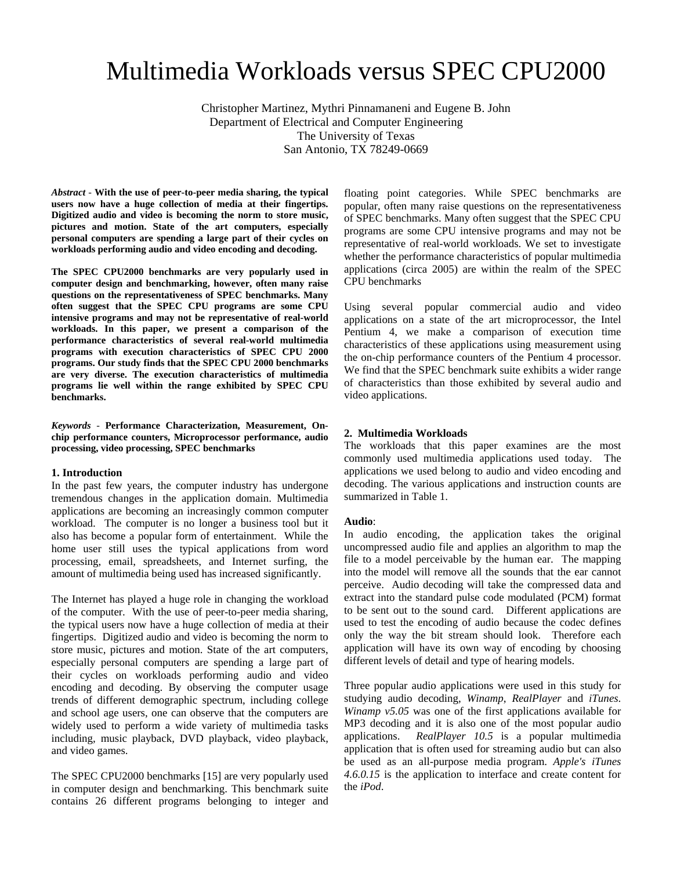# Multimedia Workloads versus SPEC CPU2000

Christopher Martinez, Mythri Pinnamaneni and Eugene B. John Department of Electrical and Computer Engineering The University of Texas San Antonio, TX 78249-0669

*Abstract* - **With the use of peer-to-peer media sharing, the typical users now have a huge collection of media at their fingertips. Digitized audio and video is becoming the norm to store music, pictures and motion. State of the art computers, especially personal computers are spending a large part of their cycles on workloads performing audio and video encoding and decoding.** 

**The SPEC CPU2000 benchmarks are very popularly used in computer design and benchmarking, however, often many raise questions on the representativeness of SPEC benchmarks. Many often suggest that the SPEC CPU programs are some CPU intensive programs and may not be representative of real-world workloads. In this paper, we present a comparison of the performance characteristics of several real-world multimedia programs with execution characteristics of SPEC CPU 2000 programs. Our study finds that the SPEC CPU 2000 benchmarks are very diverse. The execution characteristics of multimedia programs lie well within the range exhibited by SPEC CPU benchmarks.** 

*Keywords* - **Performance Characterization, Measurement, Onchip performance counters, Microprocessor performance, audio processing, video processing, SPEC benchmarks**

# **1. Introduction**

In the past few years, the computer industry has undergone tremendous changes in the application domain. Multimedia applications are becoming an increasingly common computer workload. The computer is no longer a business tool but it also has become a popular form of entertainment. While the home user still uses the typical applications from word processing, email, spreadsheets, and Internet surfing, the amount of multimedia being used has increased significantly.

The Internet has played a huge role in changing the workload of the computer. With the use of peer-to-peer media sharing, the typical users now have a huge collection of media at their fingertips. Digitized audio and video is becoming the norm to store music, pictures and motion. State of the art computers, especially personal computers are spending a large part of their cycles on workloads performing audio and video encoding and decoding. By observing the computer usage trends of different demographic spectrum, including college and school age users, one can observe that the computers are widely used to perform a wide variety of multimedia tasks including, music playback, DVD playback, video playback, and video games.

The SPEC CPU2000 benchmarks [15] are very popularly used in computer design and benchmarking. This benchmark suite contains 26 different programs belonging to integer and floating point categories. While SPEC benchmarks are popular, often many raise questions on the representativeness of SPEC benchmarks. Many often suggest that the SPEC CPU programs are some CPU intensive programs and may not be representative of real-world workloads. We set to investigate whether the performance characteristics of popular multimedia applications (circa 2005) are within the realm of the SPEC CPU benchmarks

Using several popular commercial audio and video applications on a state of the art microprocessor, the Intel Pentium 4, we make a comparison of execution time characteristics of these applications using measurement using the on-chip performance counters of the Pentium 4 processor. We find that the SPEC benchmark suite exhibits a wider range of characteristics than those exhibited by several audio and video applications.

#### **2. Multimedia Workloads**

The workloads that this paper examines are the most commonly used multimedia applications used today. The applications we used belong to audio and video encoding and decoding. The various applications and instruction counts are summarized in Table 1.

#### **Audio**:

In audio encoding, the application takes the original uncompressed audio file and applies an algorithm to map the file to a model perceivable by the human ear. The mapping into the model will remove all the sounds that the ear cannot perceive. Audio decoding will take the compressed data and extract into the standard pulse code modulated (PCM) format to be sent out to the sound card. Different applications are used to test the encoding of audio because the codec defines only the way the bit stream should look. Therefore each application will have its own way of encoding by choosing different levels of detail and type of hearing models.

Three popular audio applications were used in this study for studying audio decoding, *Winamp*, *RealPlayer* and *iTunes*. *Winamp v5.05* was one of the first applications available for MP3 decoding and it is also one of the most popular audio applications. *RealPlayer 10.5* is a popular multimedia application that is often used for streaming audio but can also be used as an all-purpose media program. *Apple's iTunes 4.6.0.15* is the application to interface and create content for the *iPod*.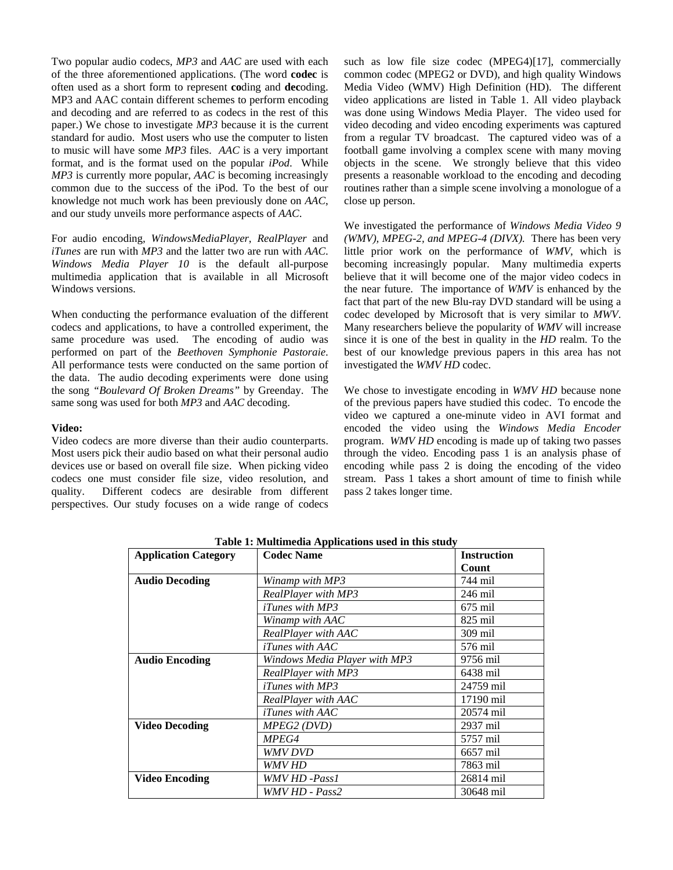Two popular audio codecs, *MP3* and *AAC* are used with each of the three aforementioned applications. (The word **codec** is often used as a short form to represent **co**ding and **dec**oding. MP3 and AAC contain different schemes to perform encoding and decoding and are referred to as codecs in the rest of this paper.) We chose to investigate *MP3* because it is the current standard for audio. Most users who use the computer to listen to music will have some *MP3* files. *AAC* is a very important format, and is the format used on the popular *iPod*. While *MP3* is currently more popular, *AAC* is becoming increasingly common due to the success of the iPod. To the best of our knowledge not much work has been previously done on *AAC*, and our study unveils more performance aspects of *AAC*.

For audio encoding, *WindowsMediaPlayer*, *RealPlayer* and *iTunes* are run with *MP3* and the latter two are run with *AAC*. *Windows Media Player 10* is the default all-purpose multimedia application that is available in all Microsoft Windows versions.

When conducting the performance evaluation of the different codecs and applications, to have a controlled experiment, the same procedure was used. The encoding of audio was performed on part of the *Beethoven Symphonie Pastoraie*. All performance tests were conducted on the same portion of the data. The audio decoding experiments were done using the song *"Boulevard Of Broken Dreams"* by Greenday. The same song was used for both *MP3* and *AAC* decoding.

# **Video:**

Video codecs are more diverse than their audio counterparts. Most users pick their audio based on what their personal audio devices use or based on overall file size. When picking video codecs one must consider file size, video resolution, and quality. Different codecs are desirable from different perspectives. Our study focuses on a wide range of codecs such as low file size codec (MPEG4)[17], commercially common codec (MPEG2 or DVD), and high quality Windows Media Video (WMV) High Definition (HD). The different video applications are listed in Table 1. All video playback was done using Windows Media Player. The video used for video decoding and video encoding experiments was captured from a regular TV broadcast. The captured video was of a football game involving a complex scene with many moving objects in the scene. We strongly believe that this video presents a reasonable workload to the encoding and decoding routines rather than a simple scene involving a monologue of a close up person.

We investigated the performance of *Windows Media Video 9 (WMV), MPEG-2, and MPEG-4 (DIVX).* There has been very little prior work on the performance of *WMV*, which is becoming increasingly popular. Many multimedia experts believe that it will become one of the major video codecs in the near future. The importance of *WMV* is enhanced by the fact that part of the new Blu-ray DVD standard will be using a codec developed by Microsoft that is very similar to *MWV*. Many researchers believe the popularity of *WMV* will increase since it is one of the best in quality in the *HD* realm. To the best of our knowledge previous papers in this area has not investigated the *WMV HD* codec.

We chose to investigate encoding in *WMV HD* because none of the previous papers have studied this codec. To encode the video we captured a one-minute video in AVI format and encoded the video using the *Windows Media Encoder* program. *WMV HD* encoding is made up of taking two passes through the video. Encoding pass 1 is an analysis phase of encoding while pass 2 is doing the encoding of the video stream. Pass 1 takes a short amount of time to finish while pass 2 takes longer time.

| <b>Application Category</b> | <b>Codec Name</b>             | <b>Instruction</b> |  |
|-----------------------------|-------------------------------|--------------------|--|
|                             |                               | Count              |  |
| <b>Audio Decoding</b>       | Winamp with MP3               | 744 mil            |  |
|                             | RealPlayer with MP3           | 246 mil            |  |
|                             | <i>iTunes with MP3</i>        | $675$ mil          |  |
|                             | Winamp with AAC               | $825$ mil          |  |
|                             | RealPlayer with AAC           | 309 mil            |  |
|                             | $iTunes$ with $AAC$           | 576 mil            |  |
| <b>Audio Encoding</b>       | Windows Media Plaver with MP3 | 9756 mil           |  |
|                             | RealPlayer with MP3           | 6438 mil           |  |
|                             | <i>iTunes with MP3</i>        | 24759 mil          |  |
|                             | RealPlayer with AAC           | 17190 mil          |  |
|                             | <i>iTunes with AAC</i>        | 20574 mil          |  |
| <b>Video Decoding</b>       | <i>MPEG2 (DVD)</i>            | 2937 mil           |  |
|                             | <i>MPEG4</i>                  | 5757 mil           |  |
|                             | <i>WMV DVD</i>                | 6657 mil           |  |
|                             | WMV HD                        | 7863 mil           |  |
| Video Encoding              | <i>WMV HD -Pass1</i>          | 26814 mil          |  |
|                             | WMV HD - Pass2                | 30648 mil          |  |

**Table 1: Multimedia Applications used in this study**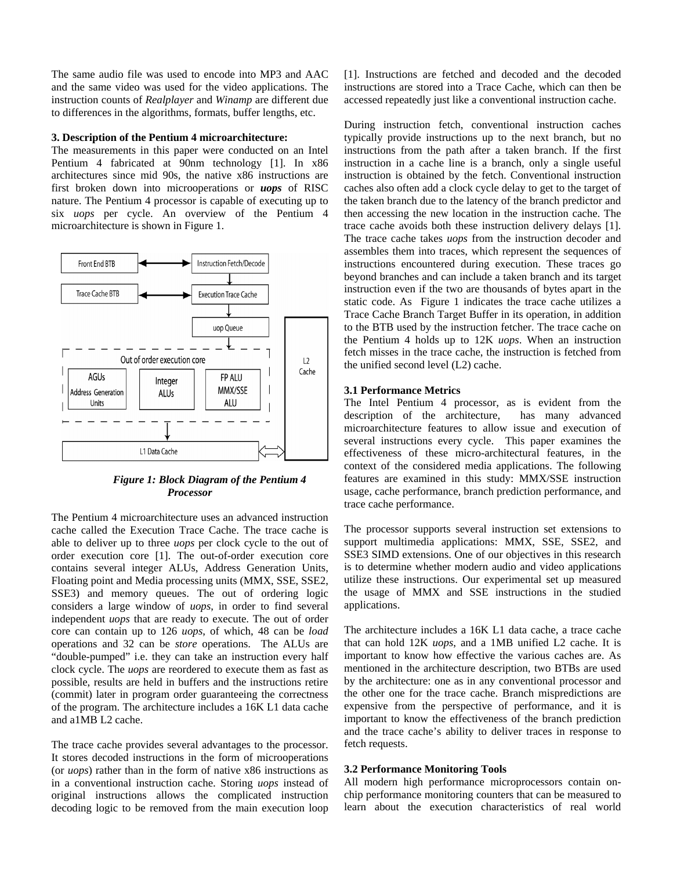The same audio file was used to encode into MP3 and AAC and the same video was used for the video applications. The instruction counts of *Realplayer* and *Winamp* are different due to differences in the algorithms, formats, buffer lengths, etc.

# **3. Description of the Pentium 4 microarchitecture:**

The measurements in this paper were conducted on an Intel Pentium 4 fabricated at 90nm technology [1]. In x86 architectures since mid 90s, the native x86 instructions are first broken down into microoperations or *uops* of RISC nature. The Pentium 4 processor is capable of executing up to six *uops* per cycle. An overview of the Pentium 4 microarchitecture is shown in Figure 1.



*Figure 1: Block Diagram of the Pentium 4 Processor* 

The Pentium 4 microarchitecture uses an advanced instruction cache called the Execution Trace Cache. The trace cache is able to deliver up to three *uops* per clock cycle to the out of order execution core [1]. The out-of-order execution core contains several integer ALUs, Address Generation Units, Floating point and Media processing units (MMX, SSE, SSE2, SSE3) and memory queues. The out of ordering logic considers a large window of *uops*, in order to find several independent *uops* that are ready to execute. The out of order core can contain up to 126 *uops*, of which, 48 can be *load* operations and 32 can be *store* operations. The ALUs are "double-pumped" i.e. they can take an instruction every half clock cycle. The *uops* are reordered to execute them as fast as possible, results are held in buffers and the instructions retire (commit) later in program order guaranteeing the correctness of the program. The architecture includes a 16K L1 data cache and a1MB L2 cache.

The trace cache provides several advantages to the processor. It stores decoded instructions in the form of microoperations (or *uops*) rather than in the form of native x86 instructions as in a conventional instruction cache. Storing *uops* instead of original instructions allows the complicated instruction decoding logic to be removed from the main execution loop [1]. Instructions are fetched and decoded and the decoded instructions are stored into a Trace Cache, which can then be accessed repeatedly just like a conventional instruction cache.

During instruction fetch, conventional instruction caches typically provide instructions up to the next branch, but no instructions from the path after a taken branch. If the first instruction in a cache line is a branch, only a single useful instruction is obtained by the fetch. Conventional instruction caches also often add a clock cycle delay to get to the target of the taken branch due to the latency of the branch predictor and then accessing the new location in the instruction cache. The trace cache avoids both these instruction delivery delays [1]. The trace cache takes *uops* from the instruction decoder and assembles them into traces, which represent the sequences of instructions encountered during execution. These traces go beyond branches and can include a taken branch and its target instruction even if the two are thousands of bytes apart in the static code. As Figure 1 indicates the trace cache utilizes a Trace Cache Branch Target Buffer in its operation, in addition to the BTB used by the instruction fetcher. The trace cache on the Pentium 4 holds up to 12K *uops*. When an instruction fetch misses in the trace cache, the instruction is fetched from the unified second level (L2) cache.

#### **3.1 Performance Metrics**

The Intel Pentium 4 processor, as is evident from the description of the architecture, has many advanced microarchitecture features to allow issue and execution of several instructions every cycle. This paper examines the effectiveness of these micro-architectural features, in the context of the considered media applications. The following features are examined in this study: MMX/SSE instruction usage, cache performance, branch prediction performance, and trace cache performance.

The processor supports several instruction set extensions to support multimedia applications: MMX, SSE, SSE2, and SSE3 SIMD extensions. One of our objectives in this research is to determine whether modern audio and video applications utilize these instructions. Our experimental set up measured the usage of MMX and SSE instructions in the studied applications.

The architecture includes a 16K L1 data cache, a trace cache that can hold 12K *uops*, and a 1MB unified L2 cache. It is important to know how effective the various caches are. As mentioned in the architecture description, two BTBs are used by the architecture: one as in any conventional processor and the other one for the trace cache. Branch mispredictions are expensive from the perspective of performance, and it is important to know the effectiveness of the branch prediction and the trace cache's ability to deliver traces in response to fetch requests.

#### **3.2 Performance Monitoring Tools**

All modern high performance microprocessors contain onchip performance monitoring counters that can be measured to learn about the execution characteristics of real world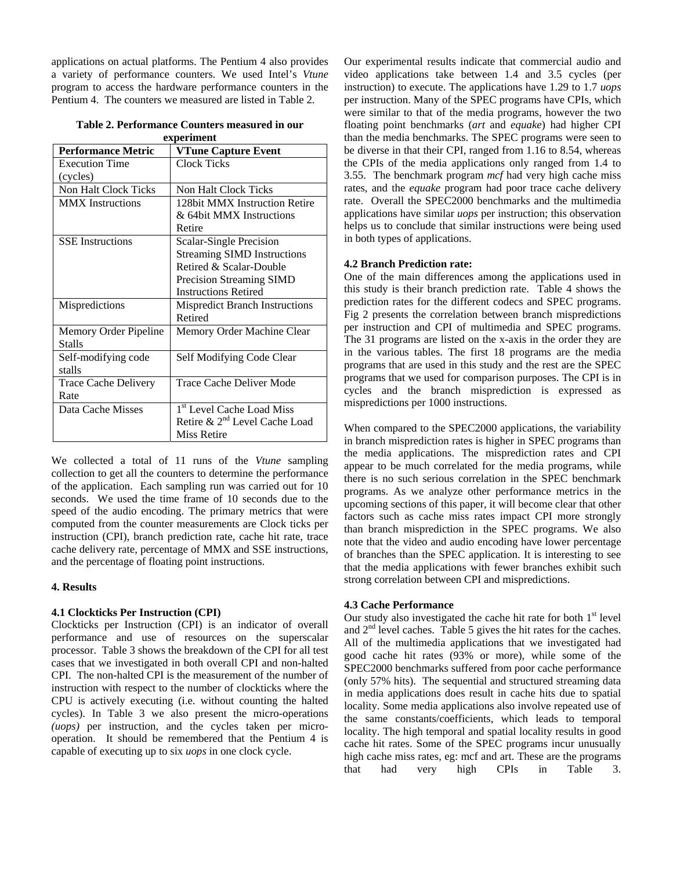applications on actual platforms. The Pentium 4 also provides a variety of performance counters. We used Intel's *Vtune* program to access the hardware performance counters in the Pentium 4. The counters we measured are listed in Table 2.

| experiment                  |                                           |  |  |
|-----------------------------|-------------------------------------------|--|--|
| <b>Performance Metric</b>   | <b>VTune Capture Event</b>                |  |  |
| <b>Execution Time</b>       | <b>Clock Ticks</b>                        |  |  |
| (cycles)                    |                                           |  |  |
| Non Halt Clock Ticks        | <b>Non Halt Clock Ticks</b>               |  |  |
| <b>MMX</b> Instructions     | 128bit MMX Instruction Retire             |  |  |
|                             | & 64bit MMX Instructions                  |  |  |
|                             | Retire                                    |  |  |
| <b>SSE</b> Instructions     | Scalar-Single Precision                   |  |  |
|                             | <b>Streaming SIMD Instructions</b>        |  |  |
|                             | Retired & Scalar-Double                   |  |  |
|                             | Precision Streaming SIMD                  |  |  |
|                             | <b>Instructions Retired</b>               |  |  |
| Mispredictions              | <b>Mispredict Branch Instructions</b>     |  |  |
|                             | Retired                                   |  |  |
| Memory Order Pipeline       | Memory Order Machine Clear                |  |  |
| <b>Stalls</b>               |                                           |  |  |
| Self-modifying code         | Self Modifying Code Clear                 |  |  |
| stalls                      |                                           |  |  |
| <b>Trace Cache Delivery</b> | Trace Cache Deliver Mode                  |  |  |
| Rate                        |                                           |  |  |
| Data Cache Misses           | 1 <sup>st</sup> Level Cache Load Miss     |  |  |
|                             | Retire & 2 <sup>nd</sup> Level Cache Load |  |  |
|                             | Miss Retire                               |  |  |
|                             |                                           |  |  |

**Table 2. Performance Counters measured in our experiment** 

We collected a total of 11 runs of the Vtune sampling collection to get all the counters to determine the performance of the application. Each sampling run was carried out for 10 seconds. We used the time frame of 10 seconds due to the speed of the audio encoding. The primary metrics that were computed from the counter measurements are Clock ticks per instruction (CPI), branch prediction rate, cache hit rate, trace cache delivery rate, percentage of MMX and SSE instructions, and the percentage of floating point instructions.

#### **4. Resul ts**

## **4.1 Clockticks Per Instruction (CPI)**

Clockticks per Instruction (CPI) is an indicator of overall performance and use of resources on the superscalar processor. Table 3 shows the breakdown of the CPI for all test cases that we investigated in both overall CPI and non-halted CPI. The non-halted CPI is the measurement of the number of instruction with respect to the number of clockticks where the CPU is actively executing (i.e. without counting the halted cycles). In Table 3 we also present the micro-operations *(uops)* per instruction, and the cycles taken per microoperation. It should be remembered that the Pentium 4 is capable of executing up to six *uops* in one clock cycle.

Our experimental results indicate that commercial audio and video applications take between 1.4 and 3.5 cycles (per instruction) to execute. The applications have 1.29 to 1.7 *uops* per instruction. Many of the SPEC programs have CPIs, which were similar to that of the media programs, however the two floating point benchmarks (*art* and *equake*) had higher CPI than the media benchmarks. The SPEC programs were seen to be diverse in that their CPI, ranged from 1.16 to 8.54, whereas the CPIs of the media applications only ranged from 1.4 to 3.55. The benchmark program *mcf* had very high cache miss rates, and the *equake* program had poor trace cache delivery rate. Overall the SPEC2000 benchmarks and the multimedia applications have similar *uops* per instruction; this observation helps us to conclude that similar instructions were being used in both types of applications.

## **4.2 Branch Prediction rate:**

One of the main differences among the applications used in this study is their branch prediction rate. Table 4 shows the prediction rates for the different codecs and SPEC programs. Fig 2 presents the correlation between branch mispredictions per instruction and CPI of multimedia and SPEC programs. The 31 programs are listed on the x-axis in the order they are in the various tables. The first 18 programs are the media programs that are used in this study and the rest are the SPEC programs that we used for comparison purposes. The CPI is in cycles and the branch misprediction is expressed as mispredictions per 1000 instructions.

When compared to the SPEC2000 applications, the variability in branch misprediction rates is higher in SPEC programs than the media applications. The misprediction rates and CPI appear to be much correlated for the media programs, while there is no such serious correlation in the SPEC benchmark programs. As we analyze other performance metrics in the upcoming sections of this paper, it will become clear that other factors such as cache miss rates impact CPI more strongly than branch misprediction in the SPEC programs. We also note that the video and audio encoding have lower percentage of branches than the SPEC application. It is interesting to see that the media applications with fewer branches exhibit such strong correlation between CPI and mispredictions.

#### **4.3 Cache Performance**

Our study also investigated the cache hit rate for both  $1<sup>st</sup>$  level and 2nd level caches. Table 5 gives the hit rates for the caches. All of the multimedia applications that we investigated had good cache hit rates (93% or more), while some of the SPEC2000 benchmarks suffered from poor cache performance (only 57% hits). The sequential and structured streaming data in media applications does result in cache hits due to spatial locality. Some media applications also involve repeated use of the same constants/coefficients, which leads to temporal locality. The high temporal and spatial locality results in good cache hit rates. Some of the SPEC programs incur unusually high cache miss rates, eg: mcf and art. These are the programs that had very high CPIs in Table 3.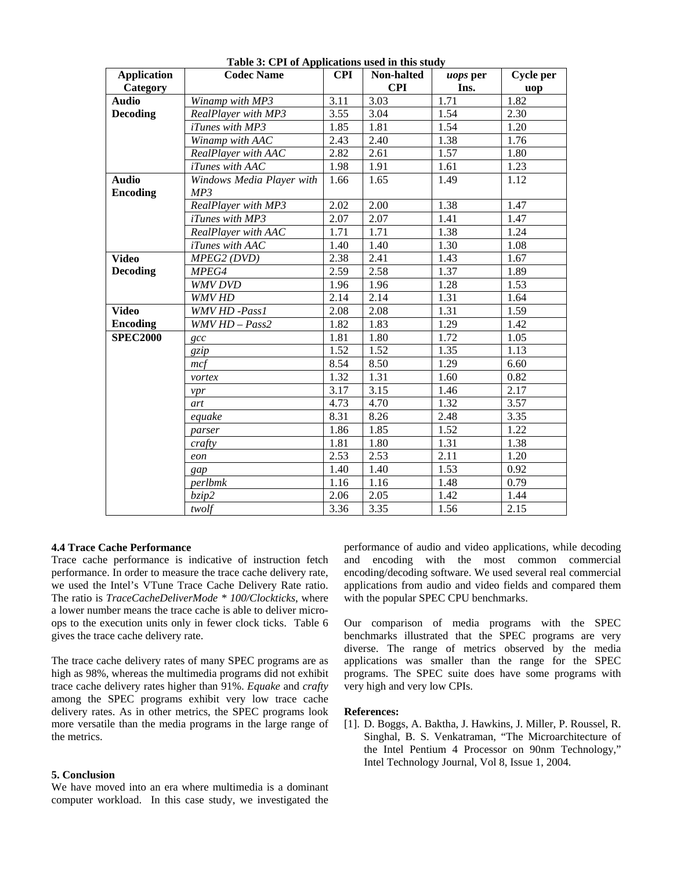| <b>Application</b>              | <br><b>Codec Name</b>            | <b>CPI</b> | Non-halted | uops per | <b>Cycle per</b> |
|---------------------------------|----------------------------------|------------|------------|----------|------------------|
| Category                        |                                  |            | <b>CPI</b> | Ins.     | uop              |
| <b>Audio</b>                    | Winamp with MP3                  | 3.11       | 3.03       | 1.71     | 1.82             |
| <b>Decoding</b>                 | RealPlayer with MP3              | 3.55       | 3.04       | 1.54     | 2.30             |
|                                 | <i>iTunes with MP3</i>           | 1.85       | 1.81       | 1.54     | 1.20             |
|                                 | Winamp with AAC                  | 2.43       | 2.40       | 1.38     | 1.76             |
|                                 | RealPlayer with AAC              | 2.82       | 2.61       | 1.57     | 1.80             |
|                                 | iTunes with AAC                  | 1.98       | 1.91       | 1.61     | 1.23             |
| <b>Audio</b><br><b>Encoding</b> | Windows Media Player with<br>MP3 | 1.66       | 1.65       | 1.49     | 1.12             |
|                                 | RealPlayer with MP3              | 2.02       | 2.00       | 1.38     | 1.47             |
|                                 | iTunes with MP3                  | 2.07       | 2.07       | 1.41     | 1.47             |
|                                 | RealPlayer with AAC              | 1.71       | 1.71       | 1.38     | 1.24             |
|                                 | iTunes with AAC                  | 1.40       | 1.40       | 1.30     | 1.08             |
| <b>Video</b>                    | MPEG2 (DVD)                      | 2.38       | 2.41       | 1.43     | 1.67             |
| <b>Decoding</b>                 | MPEG4                            | 2.59       | 2.58       | 1.37     | 1.89             |
|                                 | <b>WMV DVD</b>                   | 1.96       | 1.96       | 1.28     | 1.53             |
|                                 | <b>WMV HD</b>                    | 2.14       | 2.14       | 1.31     | 1.64             |
| $\overline{\text{Video}}$       | WMV HD -Pass1                    | 2.08       | 2.08       | 1.31     | 1.59             |
| <b>Encoding</b>                 | $WMVHD-Pass2$                    | 1.82       | 1.83       | 1.29     | 1.42             |
| <b>SPEC2000</b>                 | $\csc$                           | 1.81       | 1.80       | 1.72     | 1.05             |
|                                 | gzip                             | 1.52       | 1.52       | 1.35     | 1.13             |
|                                 | mcf                              | 8.54       | 8.50       | 1.29     | 6.60             |
|                                 | vortex                           | 1.32       | 1.31       | 1.60     | 0.82             |
|                                 | vpr                              | 3.17       | 3.15       | 1.46     | 2.17             |
|                                 | art                              | 4.73       | 4.70       | 1.32     | 3.57             |
|                                 | equake                           | 8.31       | 8.26       | 2.48     | 3.35             |
|                                 | parser                           | 1.86       | 1.85       | 1.52     | 1.22             |
|                                 | crafty                           | 1.81       | 1.80       | 1.31     | 1.38             |
|                                 | eon                              | 2.53       | 2.53       | 2.11     | 1.20             |
|                                 | gap                              | 1.40       | 1.40       | 1.53     | 0.92             |
|                                 | perlbmk                          | 1.16       | 1.16       | 1.48     | 0.79             |
|                                 | bzip2                            | 2.06       | 2.05       | 1.42     | 1.44             |
|                                 | twolf                            | 3.36       | 3.35       | 1.56     | 2.15             |

**Table 3: CPI of Applications used in this study** 

#### **4.4 Trace Cache Performance**

Trace cache performance is indicative of instruction fetch performance. In order to measure the trace cache delivery rate, we used the Intel's VTune Trace Cache Delivery Rate ratio. The ratio is *TraceCacheDeliverMode \* 100/Clockticks*, where a lower number means the trace cache is able to deliver microops to the execution units only in fewer clock ticks. Table 6 gives the trace cache delivery rate.

The trace cache delivery rates of many SPEC programs are as high as 98%, whereas the multimedia programs did not exhibit trace cache delivery rates higher than 91%. *Equake* and *crafty* among the SPEC programs exhibit very low trace cache delivery rates. As in other metrics, the SPEC programs look more versatile than the media programs in the large range of the metrics.

# **5. Conclusion**

We have moved into an era where multimedia is a dominant computer workload. In this case study, we investigated the performance of audio and video applications, while decoding and encoding with the most common commercial encoding/decoding software. We used several real commercial applications from audio and video fields and compared them with the popular SPEC CPU benchmarks.

Our comparison of media programs with the SPEC benchmarks illustrated that the SPEC programs are very diverse. The range of metrics observed by the media applications was smaller than the range for the SPEC programs. The SPEC suite does have some programs with very high and very low CPIs.

# **References:**

[1]. D. Boggs, A. Baktha, J. Hawkins, J. Miller, P. Roussel, R. Singhal, B. S. Venkatraman, "The Microarchitecture of the Intel Pentium 4 Processor on 90nm Technology," Intel Technology Journal, Vol 8, Issue 1, 2004.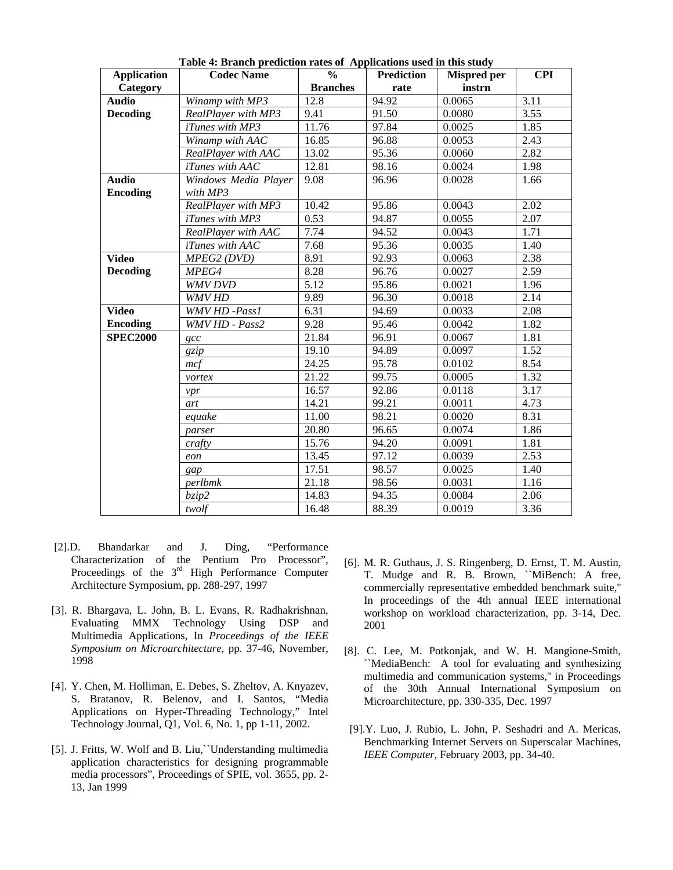| <b>Application</b>              | <b>Codec Name</b>                | $\frac{0}{0}$   | <b>Prediction</b> | <b>Mispred</b> per | <b>CPI</b> |
|---------------------------------|----------------------------------|-----------------|-------------------|--------------------|------------|
| Category                        |                                  | <b>Branches</b> | rate              | instrn             |            |
| <b>Audio</b>                    | Winamp with MP3                  | 12.8            | 94.92             | 0.0065             | 3.11       |
| <b>Decoding</b>                 | RealPlayer with MP3              | 9.41            | 91.50             | 0.0080             | 3.55       |
|                                 | iTunes with MP3                  | 11.76           | 97.84             | 0.0025             | 1.85       |
|                                 | Winamp with AAC                  | 16.85           | 96.88             | 0.0053             | 2.43       |
|                                 | RealPlayer with AAC              | 13.02           | 95.36             | 0.0060             | 2.82       |
|                                 | iTunes with AAC                  | 12.81           | 98.16             | 0.0024             | 1.98       |
| <b>Audio</b><br><b>Encoding</b> | Windows Media Player<br>with MP3 | 9.08            | 96.96             | 0.0028             | 1.66       |
|                                 | RealPlayer with MP3              | 10.42           | 95.86             | 0.0043             | 2.02       |
|                                 | <i>iTunes with MP3</i>           | 0.53            | 94.87             | 0.0055             | 2.07       |
|                                 | RealPlayer with AAC              | 7.74            | 94.52             | 0.0043             | 1.71       |
|                                 | iTunes with AAC                  | 7.68            | 95.36             | 0.0035             | 1.40       |
| <b>Video</b>                    | MPEG2 (DVD)                      | 8.91            | 92.93             | 0.0063             | 2.38       |
| <b>Decoding</b>                 | MPEG4                            | 8.28            | 96.76             | 0.0027             | 2.59       |
|                                 | <b>WMV DVD</b>                   | 5.12            | 95.86             | 0.0021             | 1.96       |
|                                 | WMV HD                           | 9.89            | 96.30             | 0.0018             | 2.14       |
| <b>Video</b>                    | WMV HD -Pass1                    | 6.31            | 94.69             | 0.0033             | 2.08       |
| <b>Encoding</b>                 | WMV HD - Pass2                   | 9.28            | 95.46             | 0.0042             | 1.82       |
| <b>SPEC2000</b>                 | $\alpha$                         | 21.84           | 96.91             | 0.0067             | 1.81       |
|                                 | gzip                             | 19.10           | 94.89             | 0.0097             | 1.52       |
|                                 | mcf                              | 24.25           | 95.78             | 0.0102             | 8.54       |
|                                 | vortex                           | 21.22           | 99.75             | 0.0005             | 1.32       |
|                                 | vpr                              | 16.57           | 92.86             | 0.0118             | 3.17       |
|                                 | art                              | 14.21           | 99.21             | 0.0011             | 4.73       |
|                                 | equake                           | 11.00           | 98.21             | 0.0020             | 8.31       |
|                                 | parser                           | 20.80           | 96.65             | 0.0074             | 1.86       |
|                                 | crafty                           | 15.76           | 94.20             | 0.0091             | 1.81       |
|                                 | eon                              | 13.45           | 97.12             | 0.0039             | 2.53       |
|                                 | gap                              | 17.51           | 98.57             | 0.0025             | 1.40       |
|                                 | perlbmk                          | 21.18           | 98.56             | 0.0031             | 1.16       |
|                                 | bzip2                            | 14.83           | 94.35             | 0.0084             | 2.06       |
|                                 | twolf                            | 16.48           | 88.39             | 0.0019             | 3.36       |

**Table 4: Branch prediction rates of Applications used in this study** 

- [2].D. Bhandarkar and J. Ding, "Performance Characterization of the Pentium Pro Processor", Proceedings of the 3<sup>rd</sup> High Performance Computer Architecture Symposium, pp. 288-297, 1997
- [3]. R. Bhargava, L. John, B. L. Evans, R. Radhakrishnan, Evaluating MMX Technology Using DSP and Multimedia Applications, In *Proceedings of the IEEE Symposium on Microarchitecture*, pp. 37-46, November, 1998
- [4]. Y. Chen, M. Holliman, E. Debes, S. Zheltov, A. Knyazev, S. Bratanov, R. Belenov, and I. Santos, "Media Applications on Hyper-Threading Technology," Intel Technology Journal, Q1, Vol. 6, No. 1, pp 1-11, 2002.
- [5]. J. Fritts, W. Wolf and B. Liu,``Understanding multimedia application characteristics for designing programmable media processors", Proceedings of SPIE, vol. 3655, pp. 2- 13, Jan 1999
- [6]. M. R. Guthaus, J. S. Ringenberg, D. Ernst, T. M. Austin, T. Mudge and R. B. Brown, ``MiBench: A free, commercially representative embedded benchmark suite,'' In proceedings of the 4th annual IEEE international workshop on workload characterization, pp. 3-14, Dec. 2001
- [8]. C. Lee, M. Potkonjak, and W. H. Mangione-Smith, ``MediaBench: A tool for evaluating and synthesizing multimedia and communication systems,'' in Proceedings of the 30th Annual International Symposium on Microarchitecture, pp. 330-335, Dec. 1997
- [9].Y. Luo, J. Rubio, L. John, P. Seshadri and A. Mericas, Benchmarking Internet Servers on Superscalar Machines, *IEEE Computer*, February 2003, pp. 34-40.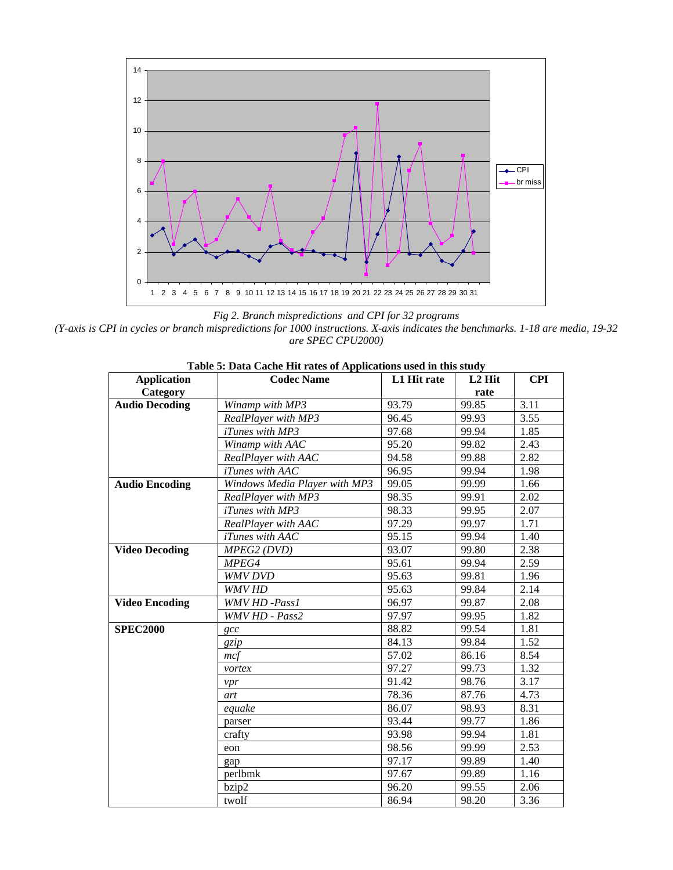

*Fig 2. Branch mispredictions and CPI for 32 programs* 

*(Y-axis is CPI in cycles or branch mispredictions for 1000 instructions. X-axis indicates the benchmarks. 1-18 are media, 19-32 are SPEC CPU2000)*

| <b>Application</b>    | Tubic of Duth Cuche the futes of repphendions used in this study<br><b>Codec Name</b> | L1 Hit rate | L <sub>2</sub> Hit | <b>CPI</b> |
|-----------------------|---------------------------------------------------------------------------------------|-------------|--------------------|------------|
| Category              |                                                                                       |             | rate               |            |
| <b>Audio Decoding</b> | Winamp with MP3                                                                       | 93.79       | 99.85              | 3.11       |
|                       | RealPlayer with MP3                                                                   | 96.45       | 99.93              | 3.55       |
|                       | <i>iTunes with MP3</i>                                                                | 97.68       | 99.94              | 1.85       |
|                       | Winamp with AAC                                                                       | 95.20       | 99.82              | 2.43       |
|                       | RealPlayer with AAC                                                                   | 94.58       | 99.88              | 2.82       |
|                       | <i>iTunes with AAC</i>                                                                | 96.95       | 99.94              | 1.98       |
| <b>Audio Encoding</b> | Windows Media Player with MP3                                                         | 99.05       | 99.99              | 1.66       |
|                       | RealPlayer with MP3                                                                   | 98.35       | 99.91              | 2.02       |
|                       | <i>iTunes with MP3</i>                                                                | 98.33       | 99.95              | 2.07       |
|                       | RealPlayer with AAC                                                                   | 97.29       | 99.97              | 1.71       |
|                       | iTunes with AAC                                                                       | 95.15       | 99.94              | 1.40       |
| <b>Video Decoding</b> | MPEG2 (DVD)                                                                           | 93.07       | 99.80              | 2.38       |
|                       | MPEG4                                                                                 | 95.61       | 99.94              | 2.59       |
|                       | WMV DVD                                                                               | 95.63       | 99.81              | 1.96       |
|                       | WMV HD                                                                                | 95.63       | 99.84              | 2.14       |
| <b>Video Encoding</b> | <b>WMV HD -Pass1</b>                                                                  | 96.97       | 99.87              | 2.08       |
|                       | WMV HD - Pass2                                                                        | 97.97       | 99.95              | 1.82       |
| <b>SPEC2000</b>       | $\csc$                                                                                | 88.82       | 99.54              | 1.81       |
|                       | gzip                                                                                  | 84.13       | 99.84              | 1.52       |
|                       | mcf                                                                                   | 57.02       | 86.16              | 8.54       |
|                       | vortex                                                                                | 97.27       | 99.73              | 1.32       |
|                       | vpr                                                                                   | 91.42       | 98.76              | 3.17       |
|                       | art                                                                                   | 78.36       | 87.76              | 4.73       |
|                       | equake                                                                                | 86.07       | 98.93              | 8.31       |
|                       | parser                                                                                | 93.44       | 99.77              | 1.86       |
|                       | crafty                                                                                | 93.98       | 99.94              | 1.81       |
|                       | eon                                                                                   | 98.56       | 99.99              | 2.53       |
|                       | gap                                                                                   | 97.17       | 99.89              | 1.40       |
|                       | perlbmk                                                                               | 97.67       | 99.89              | 1.16       |
|                       | bzip2                                                                                 | 96.20       | 99.55              | 2.06       |
|                       | twolf                                                                                 | 86.94       | 98.20              | 3.36       |

**Table 5: Data Cache Hit rates of Applications used in this study**